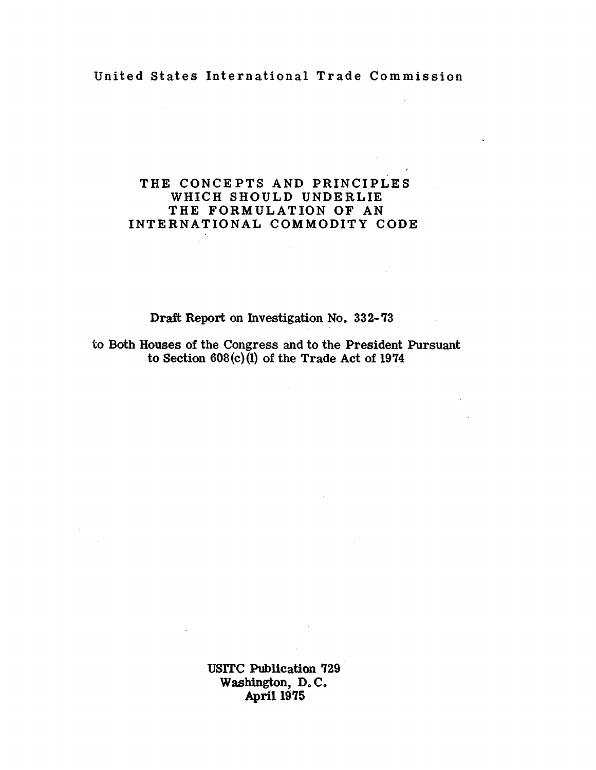$\sim 10^{-11}$ 

 $\sim 10^{11}$ 

# THE CONCEPTS AND PRINCIPLES WHICH SHOULD UNDERLIE THE FORMULATION OF AN INTERNATIONAL COMMODITY CODE

# Draft Report on Investigation No. 332-73

 $\mathcal{L}_{\rm{max}}$ 

to Both Houses of the Congress and to the President Pursuant to Section  $608(c)(l)$  of the Trade Act of 1974

 $\sim 10^7$ 

 $\label{eq:2.1} \frac{1}{\sqrt{2}}\int_{0}^{2\pi} \frac{1}{\sqrt{2}}\left(\frac{1}{\sqrt{2}}\right)^{2} \frac{1}{\sqrt{2}}\left(\frac{1}{\sqrt{2}}\right)^{2} \frac{1}{\sqrt{2}}\left(\frac{1}{\sqrt{2}}\right)^{2} \frac{1}{\sqrt{2}}\left(\frac{1}{\sqrt{2}}\right)^{2} \frac{1}{\sqrt{2}}\left(\frac{1}{\sqrt{2}}\right)^{2} \frac{1}{\sqrt{2}}\left(\frac{1}{\sqrt{2}}\right)^{2} \frac{1}{\sqrt{2}}\left(\frac{1}{\sqrt{2}}\$ 

USITC Publication 729 Washington, D.C. April 1975

 $\mathcal{A}^{\mathcal{A}}$  and  $\mathcal{A}^{\mathcal{A}}$  and  $\mathcal{A}^{\mathcal{A}}$ 

 $\sim 10^7$ 

 $\sim 10^{-1}$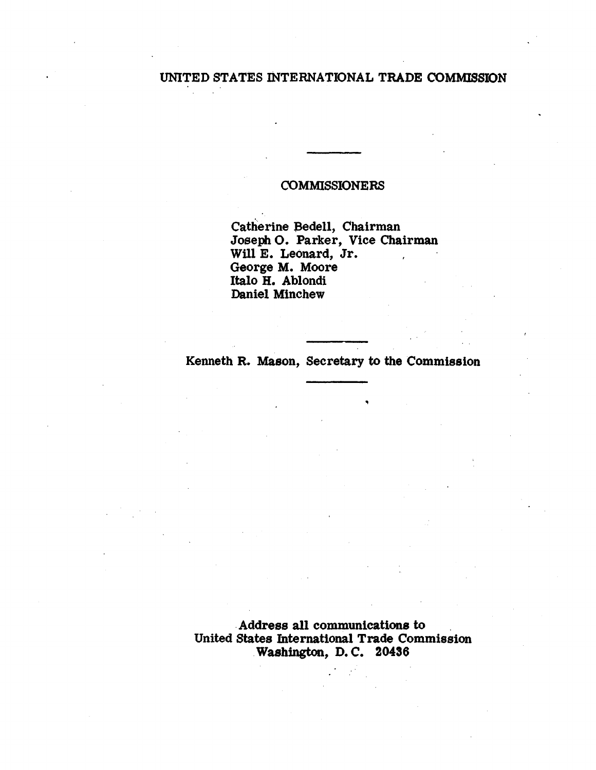# UNITED STATES INTERNATIONAL TRADE COMMISSION

# COMMISSIONERS

Catherine Bedell, Chairman Joseph 0. Parker, Vice Chairman Will E. Leonard, Jr. George M. Moore Italo H. Ablondi Daniel Minchew

Kenneth R. Mason, Secretary to the Commission

. Address all communications to . United States International Trade Commission . Washington, D. C. 20436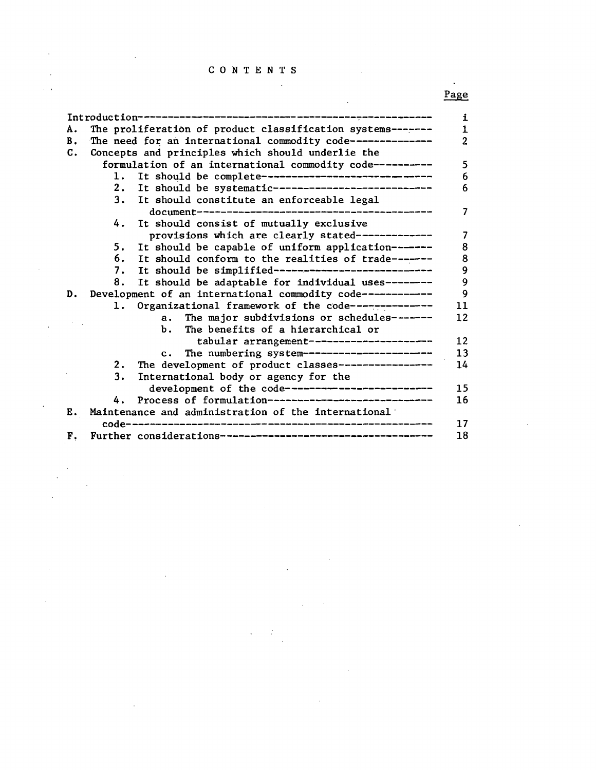# C 0 N T E N T S

 $\mathcal{L}^{\text{max}}$  .

 $\mathcal{L}^{\text{max}}_{\text{max}}$ 

 $\sim$   $\sim$ 

 $\sim$   $\sim$ 

 $\sim 10^7$ 

 $\mathcal{L}_{\text{max}}$ 

 $\frac{1}{\sqrt{2}}\frac{d\phi}{d\phi}$ 

 $\mathcal{L}(\mathcal{L}^{\text{max}})$  and  $\mathcal{L}^{\text{max}}$ 

 $\mathcal{L}^{\text{max}}_{\text{max}}$  and  $\mathcal{L}^{\text{max}}_{\text{max}}$ 

 $\mathcal{L}^{\text{max}}_{\text{max}}$  and  $\mathcal{L}^{\text{max}}_{\text{max}}$ 

 $\mathcal{L}^{\text{max}}_{\text{max}}$  and  $\mathcal{L}^{\text{max}}_{\text{max}}$ 

# $\hat{\mathcal{L}}$ Page

 $\sim$   $\sim$ 

| Β.<br>c. | The need for an international commodity code--------------<br>Concepts and principles which should underlie the |  |  |  |
|----------|-----------------------------------------------------------------------------------------------------------------|--|--|--|
|          | formulation of an international commodity code----------                                                        |  |  |  |
|          | It should be complete----------------------------<br>ı.                                                         |  |  |  |
|          | It should be systematic---------------------------<br>2.                                                        |  |  |  |
|          | 3.<br>It should constitute an enforceable legal                                                                 |  |  |  |
|          | document----------------------                                                                                  |  |  |  |
|          | It should consist of mutually exclusive<br>4.                                                                   |  |  |  |
|          | provisions which are clearly stated-------------                                                                |  |  |  |
|          | It should be capable of uniform application-------<br>5.                                                        |  |  |  |
|          | 6.<br>It should conform to the realities of trade-------                                                        |  |  |  |
|          | It should be simplified---------------------------<br>7.                                                        |  |  |  |
|          | It should be adaptable for individual uses --------<br>8.                                                       |  |  |  |
| D.       | Development of an international commodity code------------                                                      |  |  |  |
|          | Organizational framework of the code--------------<br>1.                                                        |  |  |  |
|          | The major subdivisions or schedules-------<br>а.                                                                |  |  |  |
|          | The benefits of a hierarchical or<br>Ъ.                                                                         |  |  |  |
|          | tabular arrangement--------------------                                                                         |  |  |  |
|          | The numbering system----------------------<br>$c$ .                                                             |  |  |  |
|          | The development of product classes----------------<br>2.                                                        |  |  |  |
|          | 3.<br>International body or agency for the                                                                      |  |  |  |
|          | development of the code-------------------------                                                                |  |  |  |
|          | Process of formulation-----------------------------<br>4.                                                       |  |  |  |
| Ε.       | Maintenance and administration of the international                                                             |  |  |  |
|          |                                                                                                                 |  |  |  |
| F.       |                                                                                                                 |  |  |  |
|          |                                                                                                                 |  |  |  |
|          |                                                                                                                 |  |  |  |

 $\label{eq:2} \frac{1}{\sqrt{2}}\sum_{i=1}^n\frac{1}{\sqrt{2}}\sum_{i=1}^n\frac{1}{\sqrt{2}}\sum_{i=1}^n\frac{1}{\sqrt{2}}\sum_{i=1}^n\frac{1}{\sqrt{2}}\sum_{i=1}^n\frac{1}{\sqrt{2}}\sum_{i=1}^n\frac{1}{\sqrt{2}}\sum_{i=1}^n\frac{1}{\sqrt{2}}\sum_{i=1}^n\frac{1}{\sqrt{2}}\sum_{i=1}^n\frac{1}{\sqrt{2}}\sum_{i=1}^n\frac{1}{\sqrt{2}}\sum_{i=1}^n\frac{1$ 

 $\mathcal{L}^{\mathcal{L}}(\mathcal{L}^{\mathcal{L}})$  and  $\mathcal{L}^{\mathcal{L}}(\mathcal{L}^{\mathcal{L}})$  and  $\mathcal{L}^{\mathcal{L}}(\mathcal{L}^{\mathcal{L}})$ 

 $\mathcal{L}^{\text{max}}_{\text{max}}$  and  $\mathcal{L}^{\text{max}}_{\text{max}}$ 

 $\mathcal{L}^{\text{max}}_{\text{max}}$  and  $\mathcal{L}^{\text{max}}_{\text{max}}$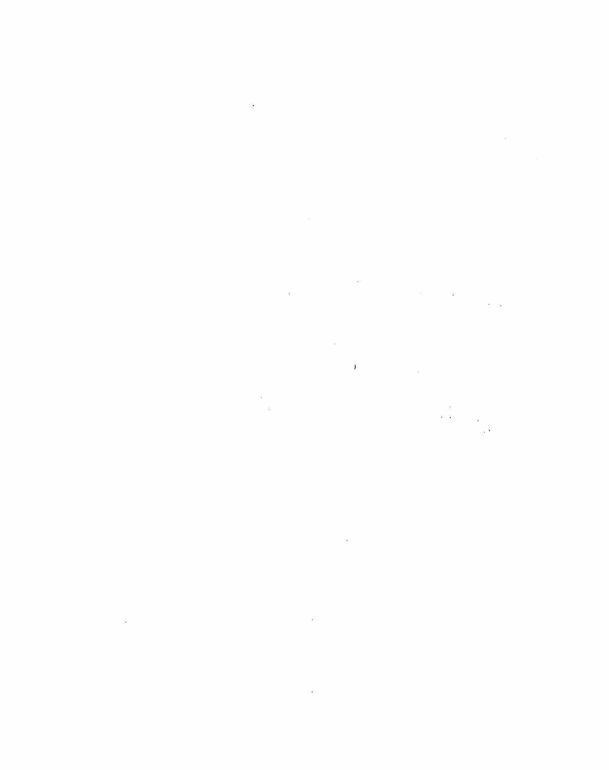$\label{eq:2.1} \mathcal{L}(\mathcal{L}(\mathcal{L})) = \mathcal{L}(\mathcal{L}(\mathcal{L})) = \mathcal{L}(\mathcal{L}(\mathcal{L})) = \mathcal{L}(\mathcal{L}(\mathcal{L})) = \mathcal{L}(\mathcal{L}(\mathcal{L})) = \mathcal{L}(\mathcal{L}(\mathcal{L})) = \mathcal{L}(\mathcal{L}(\mathcal{L})) = \mathcal{L}(\mathcal{L}(\mathcal{L})) = \mathcal{L}(\mathcal{L}(\mathcal{L})) = \mathcal{L}(\mathcal{L}(\mathcal{L})) = \mathcal{L}(\mathcal{L}(\mathcal{L})) = \math$ 

 $\label{eq:2.1} \frac{1}{\sqrt{2}}\int_{\mathbb{R}^3}\frac{1}{\sqrt{2}}\left(\frac{1}{\sqrt{2}}\right)^2\frac{1}{\sqrt{2}}\left(\frac{1}{\sqrt{2}}\right)^2\frac{1}{\sqrt{2}}\left(\frac{1}{\sqrt{2}}\right)^2\frac{1}{\sqrt{2}}\left(\frac{1}{\sqrt{2}}\right)^2\frac{1}{\sqrt{2}}\left(\frac{1}{\sqrt{2}}\right)^2\frac{1}{\sqrt{2}}\frac{1}{\sqrt{2}}\frac{1}{\sqrt{2}}\frac{1}{\sqrt{2}}\frac{1}{\sqrt{2}}\frac{1}{\sqrt{2}}$ 

 $\label{eq:2.1} \frac{1}{\sqrt{2}}\int_{\mathbb{R}^3}\frac{1}{\sqrt{2}}\left(\frac{1}{\sqrt{2}}\right)^2\frac{1}{\sqrt{2}}\left(\frac{1}{\sqrt{2}}\right)^2\frac{1}{\sqrt{2}}\left(\frac{1}{\sqrt{2}}\right)^2\frac{1}{\sqrt{2}}\left(\frac{1}{\sqrt{2}}\right)^2.$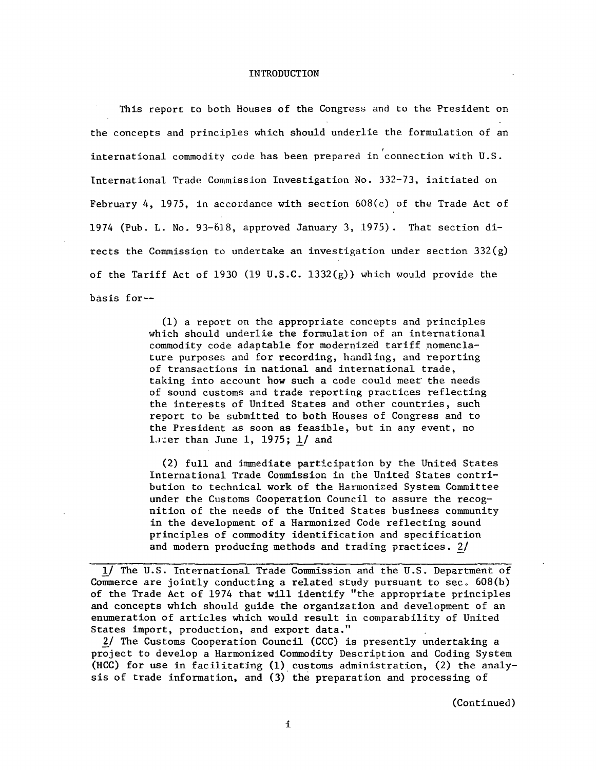#### **INTRODUCTION**

This report to both Houses of the Congress and to the President on the concepts and principles which should underlie the formulation of an international commodity code has been prepared in connection with  $\texttt{U.S.}$ International Trade Commission Investigation No. 332-73, initiated on February 4, 1975, in accordance with section 608(c) of the Trade Act of 1974 (Pub. L. No. 93-618, approved January 3, 1975). That section directs the Commission to undertake an investigation under section  $332(g)$ of the Tariff Act of 1930 (19 U.S.C. 1332 $(g)$ ) which would provide the basis for--

> (1) a report on the appropriate concepts and principles which should underlie the formulation of an international commodity code adaptable for modernized tariff nomenclature purposes and for recording, handling, and reporting of transactions in national and international trade, taking into account how such a code could meet the needs of sound customs and trade reporting practices reflecting the interests of United States and other countries, such report to be submitted to both Houses of Congress and to the President as soon as feasible, but in any event, no 1.  $x$  than June 1, 1975; 1/ and

(2) full and innnediate participation by the United States International Trade Commission in the United States contribution to technical work of the Harmonized System Committee under the Customs Cooperation Council to assure the recognition of the needs of the United States business community in the development of a Harmonized Code reflecting sound principles of commodity identification and specification and modern producing methods and trading practices.  $2/$ 

1/ The U.S. International Trade Commission and the U.S. Department of Commerce are jointly conducting a related study pursuant to sec. 608(b) of the Trade Act of 1974 that will identify "the appropriate principles and concepts which should guide the organization and development of an enumeration of articles which would result in comparability of United States import, production, and export data."

2/ The Customs Cooperation Council (CCC) is presently undertaking a project to develop a Harmonized Commodity Description and Coding System (HCC) for use in facilitating (1) customs administration, (2) the analysis of trade information, and (3) the preparation and processing of

(Continued)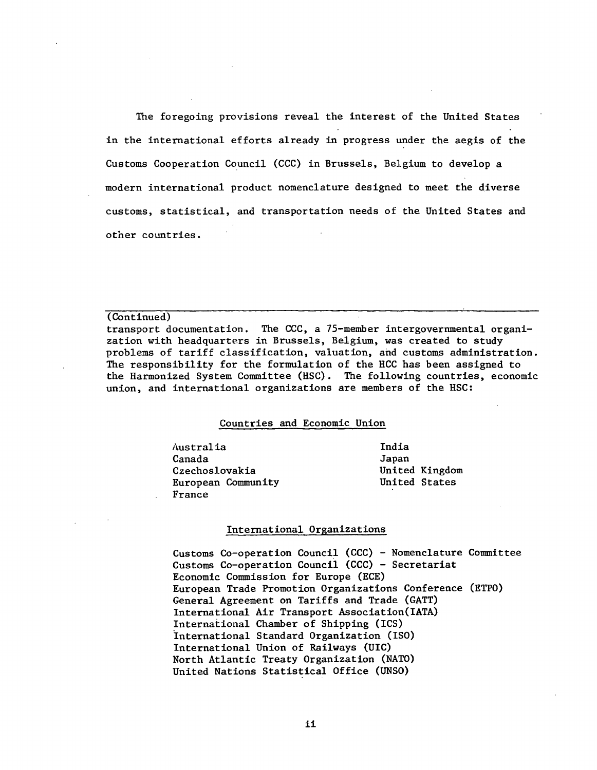The foregoing provisions reveal the interest of the United States in the international efforts already in progress under the aegis of the Customs Cooperation Council (CCC) in Brussels, Belgium to develop a modern international product nomenclature designed to meet the diverse customs, statistical, and transportation needs of the United States and other countries.

#### (Continued)

transport documentation. The CCC, a 75-member intergovernmental organization with headquarters in Brussels, Belgium, was created to study problems of tariff classification, valuation, and customs administration. The responsibility for the formulation of the HCC has been assigned to the Harmonized System Committee (HSC). The following countries, economic union, and international organizations are members of the HSC:

### Countries and Economic Union

Australia Canada Czechoslovakia European Community France

India Japan United Kingdom United States

## International Organizations

Customs Co-operation Council (CCC) - Nomenclature Committee Customs Co-operation Council (CCC) - Secretariat Economic Commission for Europe (ECE) European Trade Promotion Organizations Conference (ETPO) General Agreement on Tariffs and Trade (GATT) International Air Transport Association(IATA) International Chamber of Shipping (ICS) International Standard Organization (ISO) International Union of Railways (UIC) North Atlantic Treaty Organization (NATO) United Nations Statistical Office (UNSO)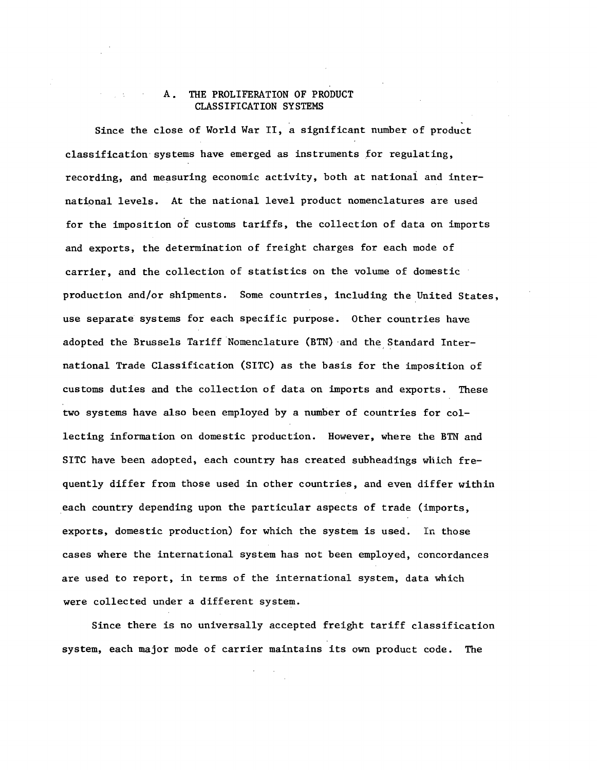## A . THE PROLIFERATION OF PRODUCT CLASSIFICATION SYSTEMS

Since the close of World War II, a significant number of product classification systems have emerged as instruments for regulating, recording, and measuring economic activity, both at nationai and international levels. At the national level product nomenclatures are used for the imposition of customs tariffs, the collection of data on imports and exports, the determination of freight charges for each mode of carrier, and the collection of statistics on the volume of domestic production and/or shipments. Some countries, including the United States, use separate systems for each specific purpose. Other countries have adopted the Brussels Tariff Nomenclature (BTN) ·and the Standard International Trade Classification (SITC) as the basis for the imposition of customs duties and the collection of data on imports and exports. These two systems have also been employed by a number of countries for collecting information on domestic production. However, where the BTN and SITC have been adopted, each country has created subheadings which frequently differ from those used in other countries, and even differ within each country depending upon the particular aspects of trade (imports, exports, domestic production) for which the system is used. In those cases where the international system has not been employed, concordances are used to report, in terms of the international system, data which were collected under a different system.

Since there is no universally accepted freight tariff classification system, each major mode of carrier maintains its own product code. The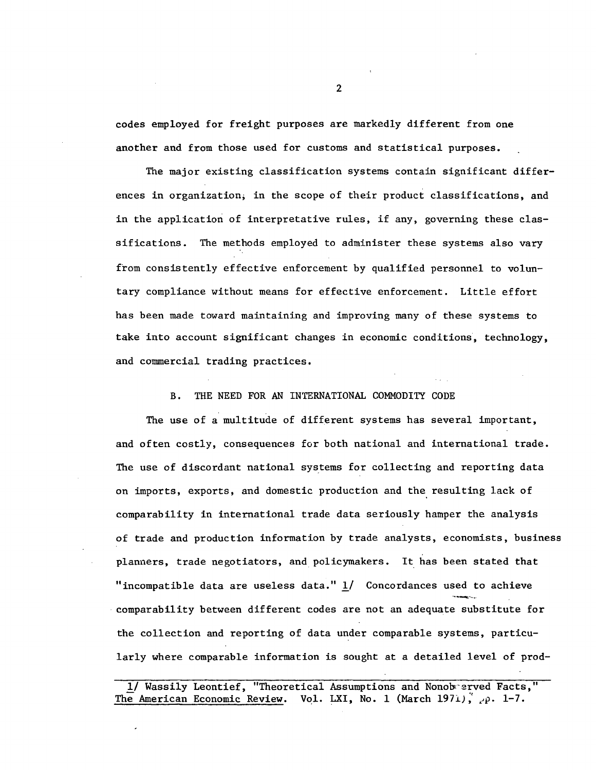codes employed for freight purposes are markedly different from one another and from those used for customs and statistical purposes.

The major existing classification systems contain significant differences in organization; in the scope of their product classifications, and in the application of interpretative rules, if any, governing these classifications. The methods employed to administer these systems also vary from consistently effective enforcement by qualified personnel to voluntary compliance without means for effective enforcement. Little effort has been made toward maintaining and improving many of these systems to take into account significant changes in economic conditions, technology, and commercial trading practices.

B. THE NEED FOR AN INTERNATIONAL COMMODITY CODE

The use of a multitude of different systems has several important, and often costly, consequences for both national and international trade. The use of discordant national systems for collecting and reporting data on imports, exports, and domestic production and the resulting lack of comparability in international trade data seriously hamper the analysis of trade and production information by trade analysts, economists, business planners, trade negotiators, and policymakers. It has been stated that "incompatible data are useless data."  $1/$  Concordances used to achieve · comparability between different codes are not an adequate substitute for the collection and reporting of data under comparable systems, particularly where comparable information is sought at a detailed level of prod-

<sup>1/</sup> Wassily Leontief, "Theoretical Assumptions and Nonobrerved Facts," The American Economic Review. Vol. LXI, No. 1 (March 1971),  $\varphi$ . 1-7.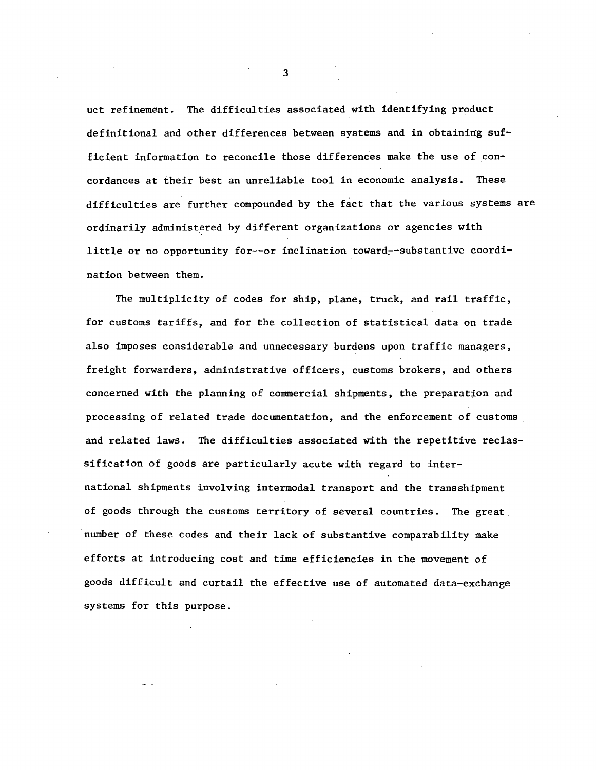uct refinement. The difficulties associated with identifying product definitional and other differences between systems and in obtaining sufficient information to reconcile those differences make the use of concordances at their best an unreliable tool in economic analysis. These difficulties are further compounded by the fact that the various systems are ordinarily administered by different organizations or agencies with little or no opportunity for--or inclination toward--substantive coordination between them.

The multiplicity of codes for ship, plane, truck, and rail traffic, for customs tariffs, and for the collection of statistical data on trade also imposes considerable and unnecessary burdens upon traffic managers, freight forwarders, administrative officers, customs brokers, and others concerned with the planning of commercial shipments, the preparation and processing of related trade documentation, and the enforcement of customs and related laws. The difficulties associated with the repetitive reclassification of goods are particularly acute with regard to international shipments involving intermodal transport and the transshipment of goods through the customs territory of several countries. The great number of these codes and their lack of substantive comparability make efforts at introducing cost and time efficiencies in the movement of goods difficult and curtail the effective use of automated data-exchange systems for this purpose.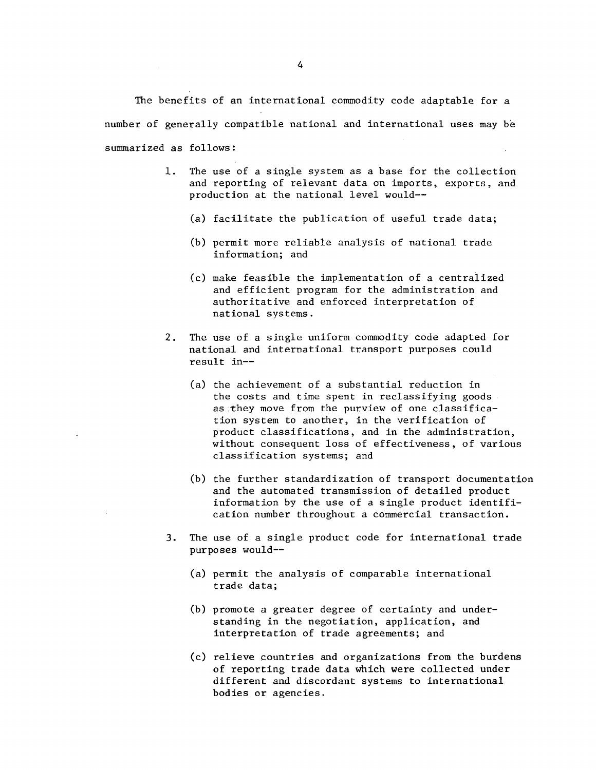The benefits of an international commodity code adaptable for a number of generally compatible national and international uses may be summarized as follows:

- 1. The use of a single system as a base for the collection and reporting of relevant data on imports, exports, and production at the national level would--
	- (a) facilitate the publication of useful trade data;
	- (b) permit more reliable analysis of national trade information; and
	- (c) make feasible the implementation of a centralized and efficient program for the administration and authoritative and enforced interpretation of national systems.
- 2. The use of a single uniform commodity code adapted for national and international transport purposes could result in--
	- (a) the achievement of a substantial reduction in the costs and time spent in reclassifying goods as they move from the purview of one classification system to another, in the verification of product classifications, and in the administration, without consequent loss of effectiveness, of various classification systems; and
	- (b) the further standardization of transport documentation and the automated transmission of detailed product information by the use of a single product identification number throughout a commercial transaction.
- 3. The use of a single product code for international trade purposes would--
	- (a) permit the analysis of comparable international trade data;
	- (b) promote a greater degree of certainty and understanding in the negotiation, application, and interpretation of trade agreements; and
	- (c) relieve countries and organizations from the burdens of reporting trade data which were collected under different and discordant systems to international bodies or agencies.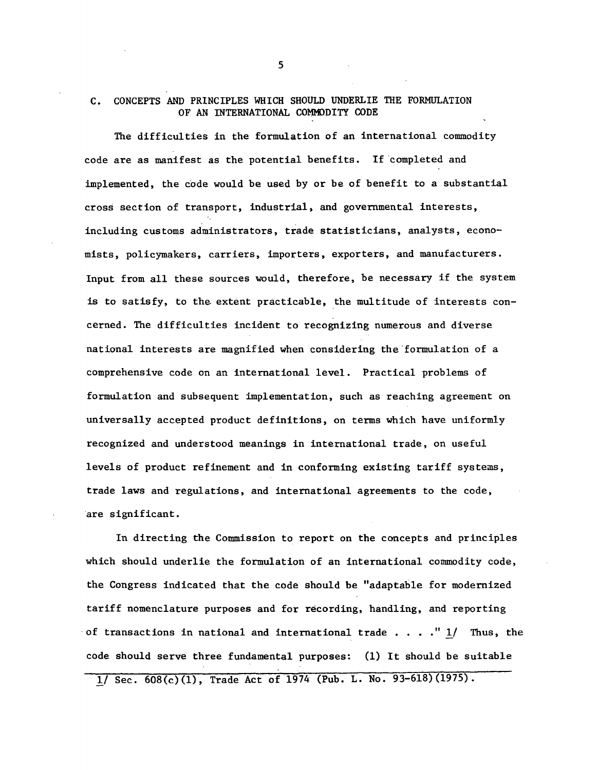# C. CONCEPTS AND PRINCIPLES WHICH SHOULD UNDERLIE THE FORMULATION OF AN INTERNATIONAL COMMODITY CODE

The difficulties in the formulation of an international commodity code are as manifest as the potential benefits. If completed and implemented, the code would be used by or be of benefit to a substantial cross section of transport, industrial, and governmental interests, including customs administrators, trade statisticians, analysts, economists, policymakers, carriers, importers, exporters, and manufacturers. Input from all these sources would, therefore, be necessary if the system is to satisfy, to the extent practicable, the multitude of interests concerned. The difficulties incident to recognizing numerous and diverse national interests are magnified when considering the'formulation of a comprehensive code on an international level. Practical problems of formulation and subsequent implementation, such as reaching agreement on universally accepted product definitions, on terms which have uniformly recognized and understood meanings in international trade, on useful levels of product refinement and in conforming existing tariff systems, trade laws and regulations, and international agreements to the code, are significant.

In directing the Commission to report on the concepts and principles which should underlie the formulation of an international commodity code, the Congress indicated that the code should be "adaptable for modernized tariff nomenclature purposes and for recording, handling, and reporting of transactions in national and international trade  $\ldots$   $\ldots$  "  $1/$  Thus, the code should serve three fundamental purposes: (1) It should be suitable

 $1/$  Sec.  $608(c)(1)$ , Trade Act of 1974 (Pub. L. No. 93-618)(1975).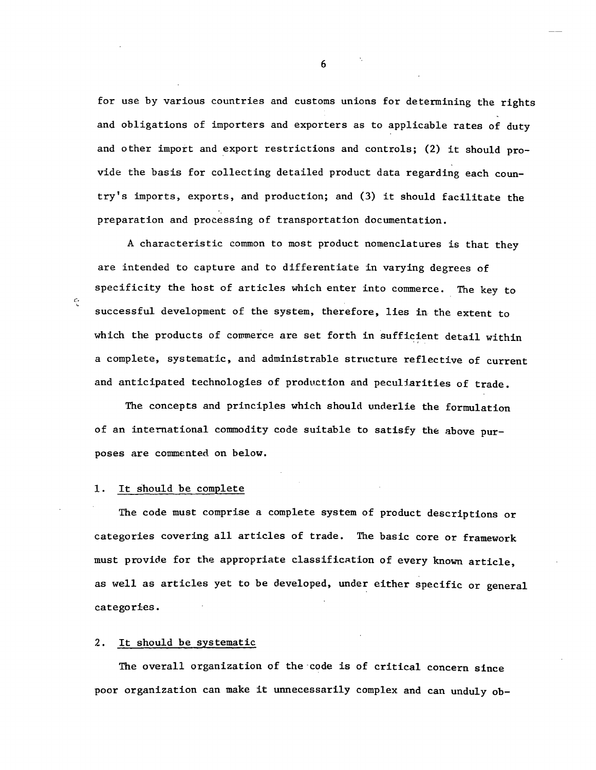for use by various countries and customs unions for determining the rights and obligations of importers and exporters as to applicable rates of duty and other import and export restrictions and controls; (2) it should provide the basis for collecting detailed product data regarding each country's imports, exports, and production; and (3) it should facilitate the preparation and processing of transportation documentation.

A characteristic common to most product nomenclatures is that they are intended to capture and to differentiate in varying degrees of specificity the host of articles which enter into commerce. The key to successful development of the system, therefore, lies in the extent to which the products of commerce are set forth in sufficient detail within a complete, systematic, and administrable structure reflective of current and anticipated technologies of production and peculiarities of trade.

The concepts and principles which should underlie the formulation of an international commodity code suitable to satisfy the above purposes are commented on below.

### 1. It should be complete

Ç.

The code must comprise a complete system of product descriptions or categories covering all articles of trade. The basic core or framework must provide for the appropriate classification of every known article, as well as articles yet to be developed, under either specific or general categories.

## 2. It should be systematic

The overall organization of the code is of critical concern since poor organization can make it unnecessarily complex and can unduly ob-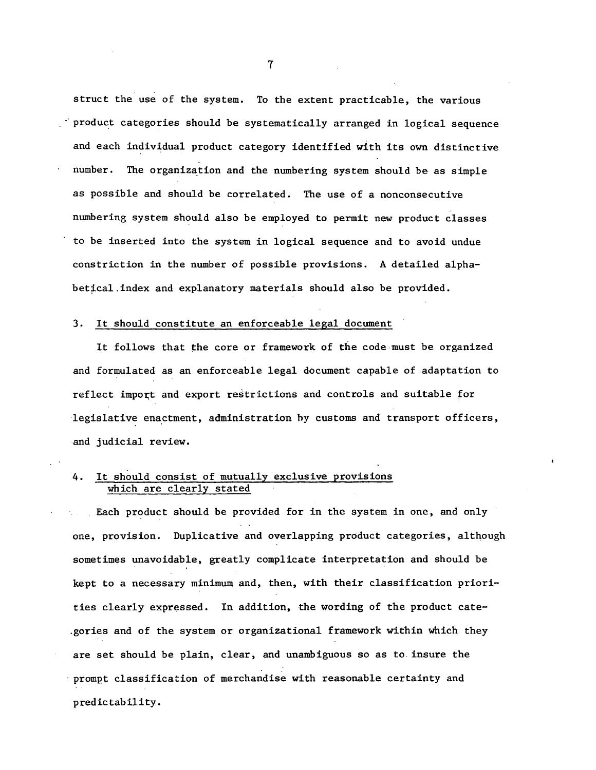struct the use of the system. To the extent practicable, the various  $\sim$  product categories should be systematically arranged in logical sequence and each individual product category identified with its own distinctive number. The organization and the numbering system should be as simple as possible and should be correlated. The use of a nonconsecutive numbering system should also be employed to permit new product classes to be inserted into the system in logical sequence and to avoid undue constriction in the number of possible provisions. A detailed alphabetical.index and explanatory materials should also be provided.

#### 3. It should constitute an enforceable legal document

It follows that the core or framework of the code-must be organized and formulated as an enforceable legal document capable of adaptation to reflect import and export restrictions and controls and suitable for legislative enactment, administration by customs and transport officers, and judicial review.

# 4. It should consist of mutually exclusive provisions which are clearly stated

Each product should be provided for in the system in one, and only one, provision. Duplicative and overlapping product categories, although sometimes unavoidable, greatly complicate interpretation and should be kept to a necessary minimum and, then, with their classification priorities clearly expressed. In addition, the wording of the product cate-.gories and of the system or organizational framework within which they are set should be plain, clear, and unambiguous so as to. insure the prompt classification of merchandise with reasonable certainty and predictability.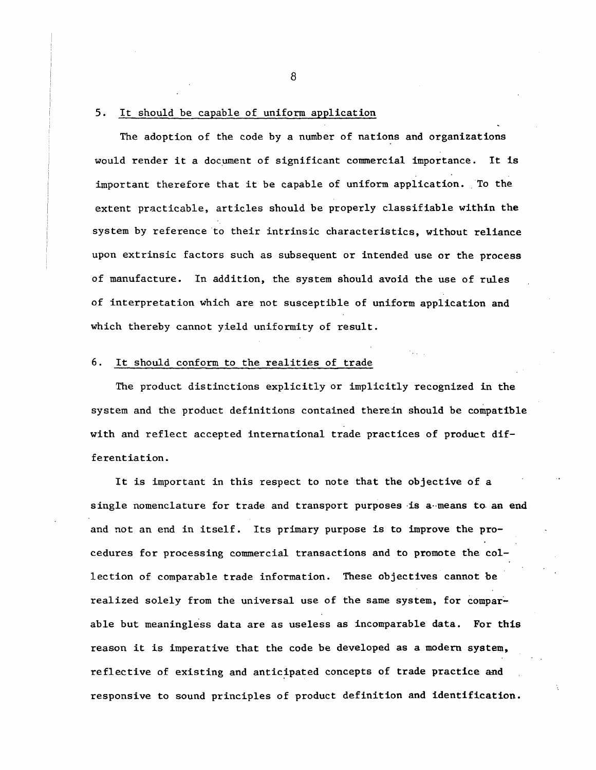## 5. It should be capable of uniform application

The adoption of the code by a number of nations and organizations would render it a document of significant commercial importance. It is important therefore that it be capable of uniform application. To the extent practicable, articles should be properly classifiable within the system by reference to their intrinsic characteristics, without reliance upon extrinsic factors such as subsequent or intended use or the process of manufacture. In addition, the system should avoid the use of rules of interpretation which are not susceptible of uniform application and which thereby cannot yield uniformity of result.

#### 6. It should conform to the realities of trade

The product distinctions explicitly or implicitly recognized in the system and the product definitions contained therein should be compatible with and reflect accepted international trade practices of product differentiation.

It is important in this respect to note that the objective of a single nomenclature for trade and transport purposes is a means to an end and not an end in itself. Its primary purpose is to improve the procedures for processing commercial transactions and to promote the col-1 ec tion of comparable trade information. These objectives cannot be realized solely from the universal use of the same system, for comparable but meaningless data are as useless as incomparable data. For this reason it is imperative that the code be developed as a modern system, reflective of existing and anticipated concepts of trade practice and responsive to sound principles of product definition and identification.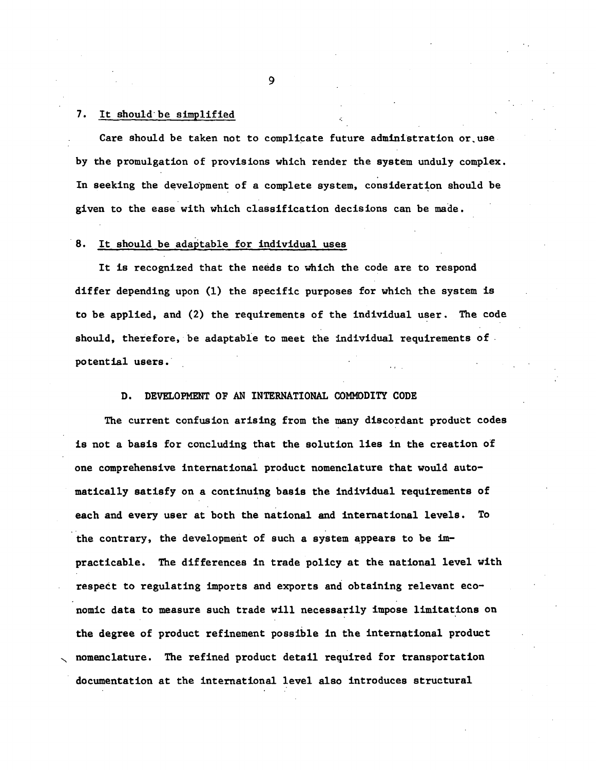#### 7. It should be simplified

Care should be taken not to complicate future administration or use by the promulgation of provisions which render the system unduly complex. In seeking the development of a complete system, consideration should be given to the ease with which classification decisions can be made.

## 8. It should be adaptable for individual uses

It is recognized that the needs to which the code are to respond differ depending upon (1) the specific purposes for which the system is to be applied, and  $(2)$  the requirements of the individual user. The code should, therefore, be adaptable to meet the individual requirements of . potential users.

#### D. DEVELOPMENT OF AN INTERNATIONAL COMMODITY CODE

The current confusion arising from the many discordant product codes is not a basis for concluding that the solution lies in the creation of one comprehensive international product nomenclature that would automatically satisfy on a continuing basis the individual requirements of each and every user at both the national and international levels. To the contrary, the development of such a system appears to be impracticable. The differences in trade policy at the national level with respect to regulating imports and exports and obtaining relevant economic data to measure such trade will necessarily impose limitations on the degree of product refinement possible in the international product nomenclature. The refined product detail required for transportation documentation at the international level also introduces structural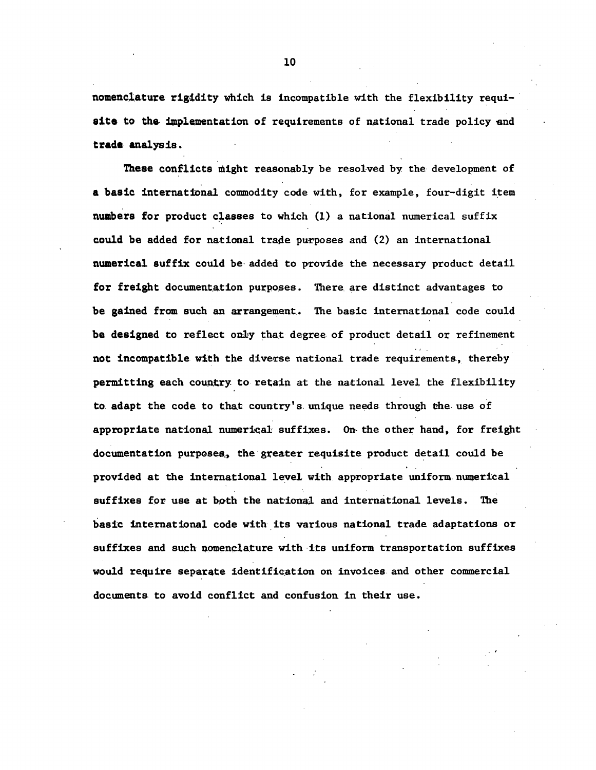nomenclature rigidity which is incompatible with the flexibility requisite to the implementation of requirements of national trade policy and **trade** analysis.

These conflicts might reasonably be resolved by the development of a basic international commodity code with, for example, four-digit item numbers for product classes to which  $(1)$  a national numerical suffix could be added for national trade purposes and  $(2)$  an international numerical suffix could be added to provide the necessary product detail for freight documentation purposes. There are distinct advantages to be gained from such an arrangement. The basic international code could be designed to reflect only that degree of product detail or refinement not incompatible with the diverse national trade requirements., thereby· permitting each country to retain at the national level the flexibility to adapt the code to that country's unique needs through the use of appropriate national numerical suffixes. On the other hand, for freight documentation purposes, the greater requisite product detail could be provided at the international level with appropriate uniform numerical suffixes for use at both the national and international levels. The basic international code with its various national trade adaptations or suffixes and such nomenclature with its uniform transportation suffixes would require separate identification on invoices and other commercial documents. to avoid conflict and confusion in their use.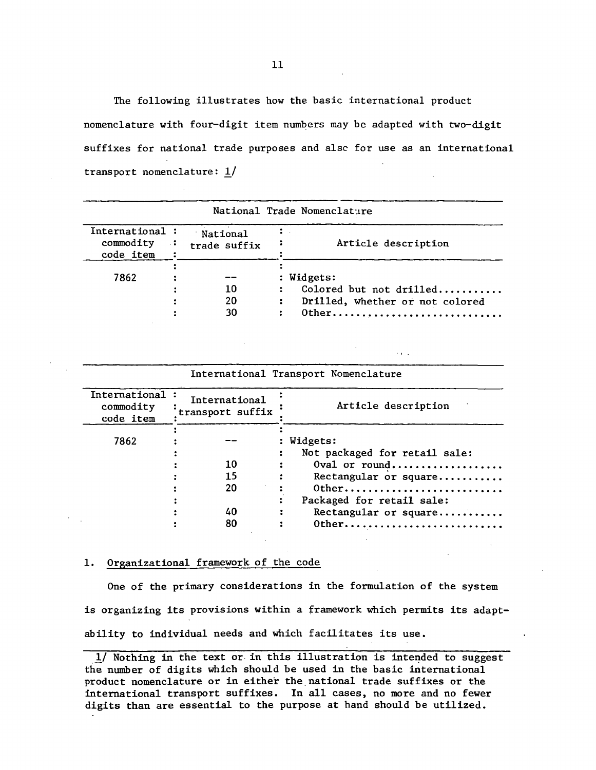The following illustrates how the basic international product nomenclature with four-digit item numbers may be adapted with two-digit suffixes for national trade purposes and alsc fot use as an international transport nomenclature: !/

| National Trade Nomenclature              |                          |                                                                                 |  |  |  |  |
|------------------------------------------|--------------------------|---------------------------------------------------------------------------------|--|--|--|--|
| International:<br>commodity<br>code item | National<br>trade suffix | Article description                                                             |  |  |  |  |
| 7862                                     | 10<br>20<br>30           | Widgets:<br>Colored but not drilled<br>Drilled, whether or not colored<br>0ther |  |  |  |  |

 $\mathbf{r}$  ,  $\mathbf{r}$ 

| International Transport Nomenclature      |                                   |                                                                                                                                                                  |  |  |  |
|-------------------------------------------|-----------------------------------|------------------------------------------------------------------------------------------------------------------------------------------------------------------|--|--|--|
| International :<br>commodity<br>code item | International<br>transport suffix | Article description                                                                                                                                              |  |  |  |
| 7862                                      | 10<br>15<br>20<br>40<br>80        | : Widgets:<br>Not packaged for retail sale:<br>$0$ val or round<br>Rectangular or square<br>0ther<br>Packaged for retail sale:<br>Rectangular or square<br>0ther |  |  |  |

#### 1. Organizational framework of the code

One of the primary considerations in the formulation of the system is organizing its provisions within a framework which permits its adaptability to individual needs and which facilitates its use.

 $1/$  Nothing in the text or in this illustration is intended to suggest the number of digits which should be used in the basic international product nomenclature or in either the national trade suffixes or the international transport suffixes. In all cases, no more and no fewer digits than are essential to the purpose at hand should be utilized.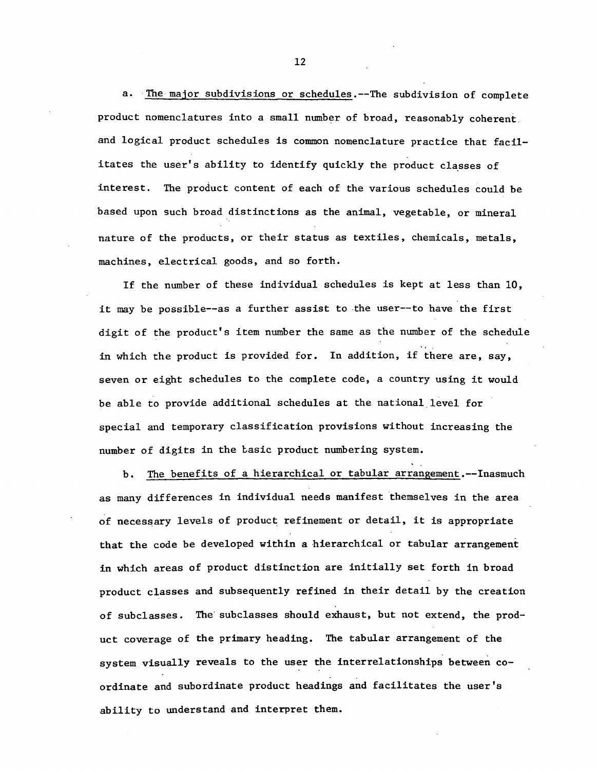a. The major subdivisions or schedules.--The subdivision of complete product nomenclatures into a small number of broad, reasonably coherent. and logical product schedules is common nomenclature practice that facilitates the user's ability to identify quickly the product classes of interest. The product content of each of the various schedules could be based upon such broad distinctions as the animal, vegetable, or mineral nature of the products, or their status as textiles, chemicals, metals, machines, electrical goods, and so forth.

If the number of these individual schedules is kept at less than 10, it may be possible--as a further assist to the user--to have the first digit of the product's item number the same as the number of the schedule in which the product is provided for. In addition, if there are, say, seven or eight schedules to the complete code, a country using it would be able to provide additional schedules at the national level for special and temporary classification provisions without increasing the number of digits in the tasic product numbering system.

b. The benefits of a hierarchical or tabular arrangement.--Inasmuch as many differences in individual needs manifest themselves in the area of necessary levels of product refinement or detail, it is appropriate that the code be developed within a hierarchical or tabular arrangement in which areas of product distinction are initially set forth in broad product classes and subsequently refined in their detail by the creation of subclasses. The· subclasses should exhaust, but not extend, the product coverage of the primary heading. The tabular arrangement of the system visually reveals to the user the interrelationships between coordinate and subordinate product headings and facilitates the user's ability to understand and interpret them.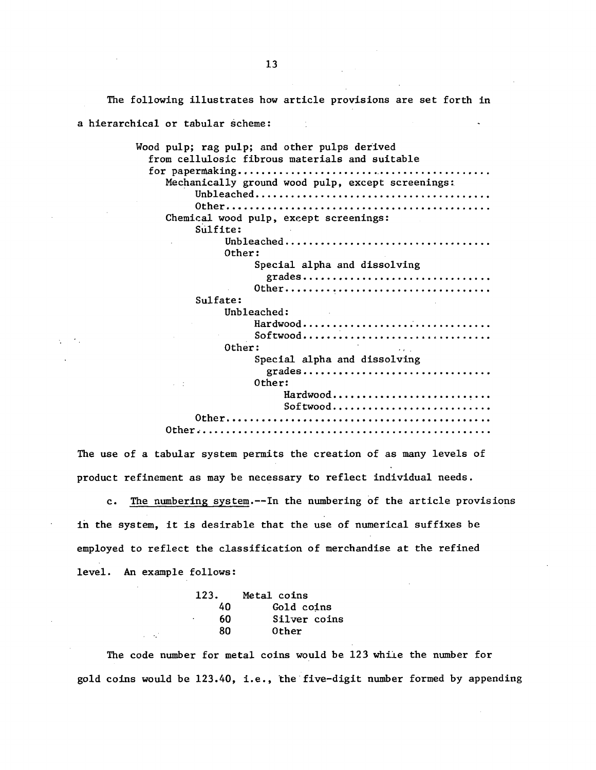The following illustrates how article provisions are set forth in a hierarchical or tabular scheme:

> Wood pulp; rag pulp; and other pulps derived from cellulosic fibrous materials and suitable **for paperlllaking .** ....... v ••••••••••••••• \_ ••••••••••••••••••• Mechanically ground wood pulp, except screenings: **Unbleached .** ...................................... . **Other .** ........................................... . Chemical wood pulp, except screenings: Sulfite: **Unbleached** .................................. . Other: Special alpha and dissolving grades................................ 0ther................................... Sulfate: Unbleached: **Hardwood..............................** Softwood................................ Other: Special alpha and dissolving grades................................. Other:  $\sim$   $\sim$ **Hardwood .** ......................... . **Softwood .** ........... , ............. . **Other ............................................ . Other ..** ................................................ .

The use of a tabular system permits the creation of as many levels of product refinement as may be necessary to reflect individual needs.

in Kil

c. The numbering system.--In the numbering of the article provisions in the system, it is desirable that the use of numerical suffixes be employed to reflect the classification of merchandise at the refined level. An example follows:

| 123. |    | Metal coins  |
|------|----|--------------|
|      | 40 | Gold coins   |
|      | 60 | Silver coins |
|      | 80 | Other        |

**Contract** 

The code number for metal coins would be 123 whiie the number for gold coins would be 123.40, i.e., the five-digit number formed by appending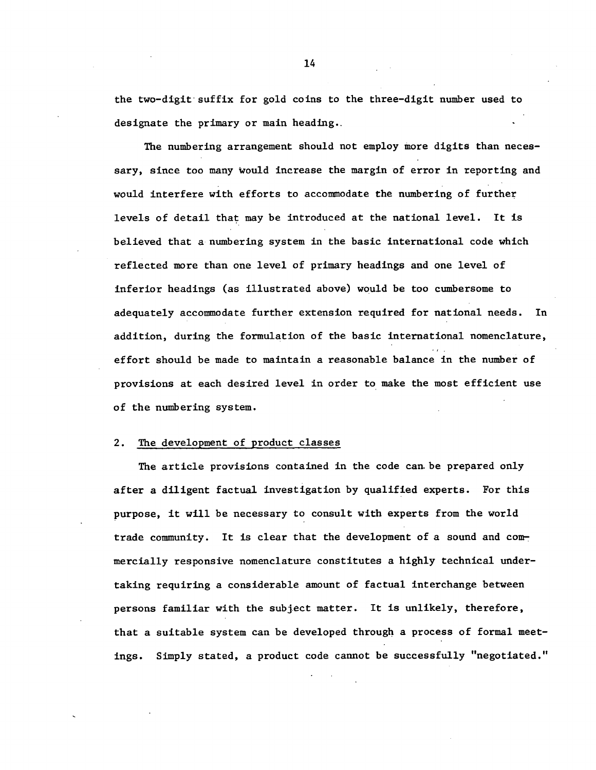the two-digit· suffix for gold coins to the three-digit number used to designate the primary or main heading.

The numbering arrangement should not employ more digits than necessary, since too many would increase the margin of error in reporting and would interfere with efforts to accommodate the numbering of further levels of detail that may be introduced at the national level. It is believed that a numbering system in the basic international code which reflected more than one level of primary headings and one level of inferior headings (as illustrated above) would be too cumbersome to adequately accommodate further extension required for national needs. In addition, during the formulation of the basic international nomenclature, effort should be made to maintain a reasonable balance in the number of provisions at each desired level in order to make the most efficient use of the numbering system.

#### 2. The development of product classes

The article provisions contained in the code can. be prepared only after a diligent factual investigation by qualified experts. For this purpose, it will be necessary to consult with experts from the world trade community. It is clear that the development of a sound and  $com$ mercially responsive nomenclature constitutes a highly technical undertaking requiring a considerable amount of factual interchange between persons familiar with the subject matter. It is unlikely, therefore, that a suitable system can be developed through a process of formal meetings. Simply stated, a product code cannot be successfully "negotiated."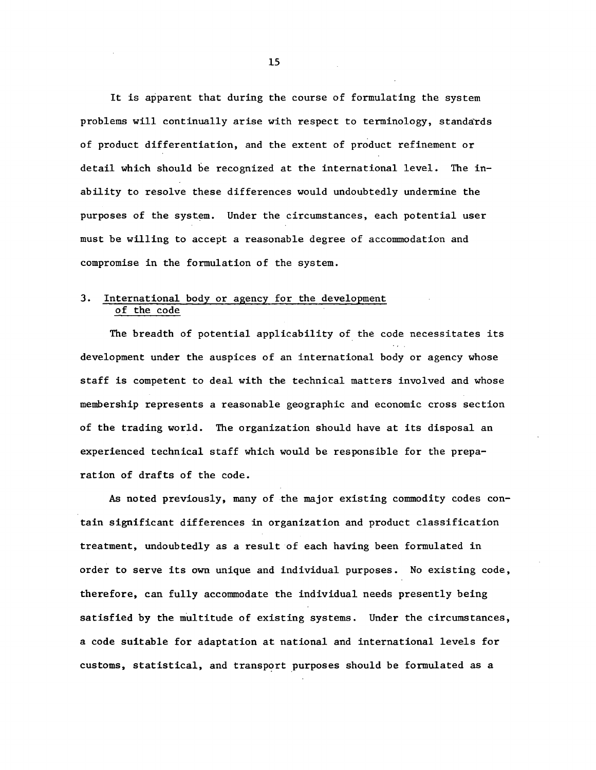It is apparent that during the course of formulating the system problems will continually arise with respect to terminology, standards of product differentiation, and the extent of product refinement or detail which should be recognized at the international level. The inability to resolve these differences would undoubtedly undermine the purposes of the system. Under the circumstances, each potential user must be willing to accept a reasonable degree of accommodation and compromise in the formulation of the system.

## 3. International body or agency for the development of the code

The breadth of potential applicability of the code necessitates its development under the auspices of an international body or agency whose staff is competent to deal with the technical matters involved and whose membership represents a reasonable geographic and economic cross section of the trading world. The organization should have at its disposal an experienced technical staff which would be responsible for the preparation of drafts of the code.

As noted previously, many of the major existing commodity codes contain significant differences in organization and product classification treatment, undoubtedly as a result of each having been formulated in order to serve its own unique and individual purposes. No existing code, therefore, can fully accommodate the individual needs presently being satisfied by the multitude of existing systems. Under the circumstances, a code suitable for adaptation at national and international levels for customs, statistical, and transport purposes should be formulated as a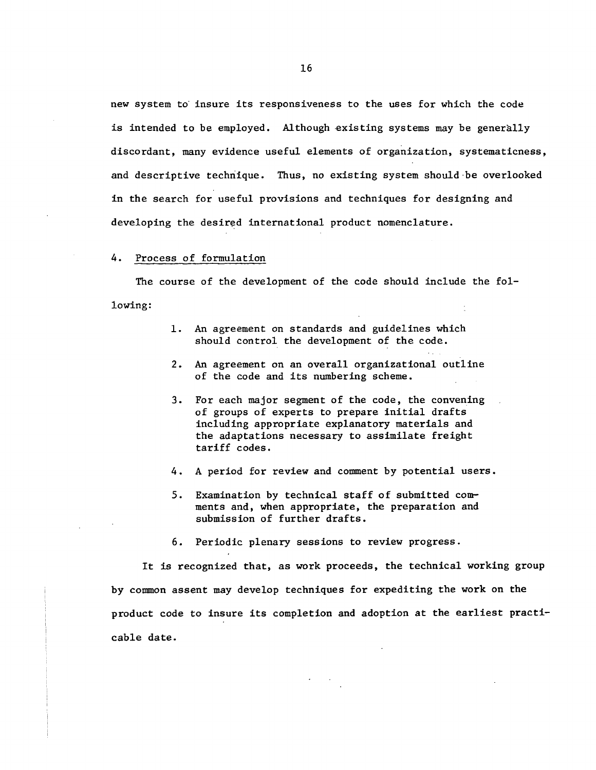new system to insure its responsiveness to the uses for which the code is intended to be employed. Although existing systems may be generally discordant, many evidence useful elements of organization, systematicness, and descriptive technique. Thus, no existing system should·be overlooked in the search for useful provisions and techniques for designing and developing the desired international product nomenclature.

## 4. Process of formulation

The course of the development of the code should include the following:

- 1. An agreement on standards and guidelines which should control the development of the code.
- 2. An agreement on an overall organizational outline of the code and its numbering scheme.
- 3. For each major segment of the code, the convening of groups of experts to prepare initial drafts including appropriate explanatory materials and the adaptations necessary to assimilate freight tariff codes.
- 4. A period for review and comment by potential users.
- 5. Examination by technical staff of submitted comments and, when appropriate, the preparation and submission of further drafts.
- 6. Periodic plenary sessions to review progress.

It is recognized that, as work proceeds, the technical working group by common assent may develop techniques for expediting the work on the product code to insure its completion and adoption at the earliest practicable date.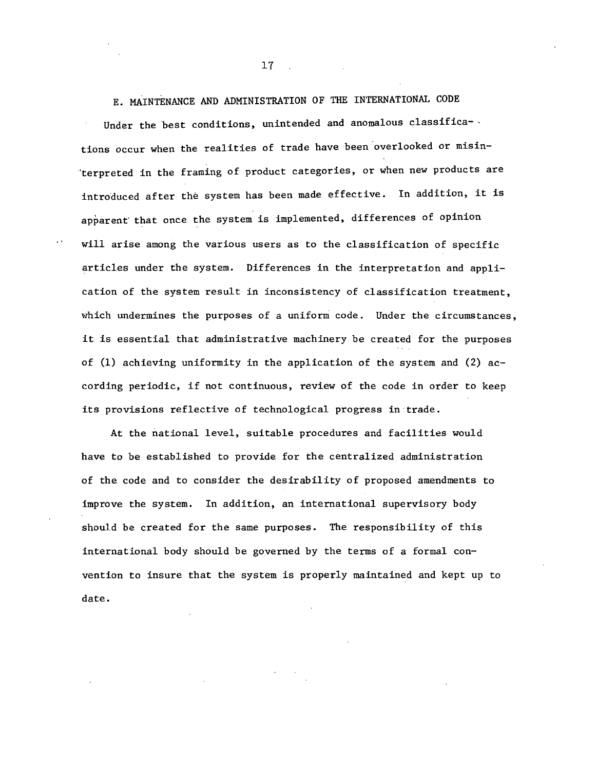E. MAINTENANCE AND ADMINISTRATION OF THE INTERNATIONAL CODE Under the best conditions, unintended and anomalous classifica- tions occur when the realities of trade have been overlooked or misin-'terpreted in the framing of product categories, or when new products are introduced after the system has been made effective. In addition, it is apparent that once the system is implemented, differences of opinion will arise among the various users as to the classification of specific articles under the system. Differences in the interpretation and application of the system result in inconsistency of classification treatment, which undermines the purposes of a uniform code. Under the circumstances, it is essential that administrative machinery be created for the purposes of (1) achieving uniformity in the application of the system and (2) according periodic, if not continuous, review of the code in order to keep its provisions reflective of technological progress in trade.

At the national level, suitable procedures and facilities would have to be established to provide for the centralized administration of the code and to consider the desirability of proposed amendments to improve the system. In addition, an international supervisory body should be created for the same purposes. The responsibility of this international body should be governed by the terms of a formal convention to insure that the system is properly maintained and kept up to date.